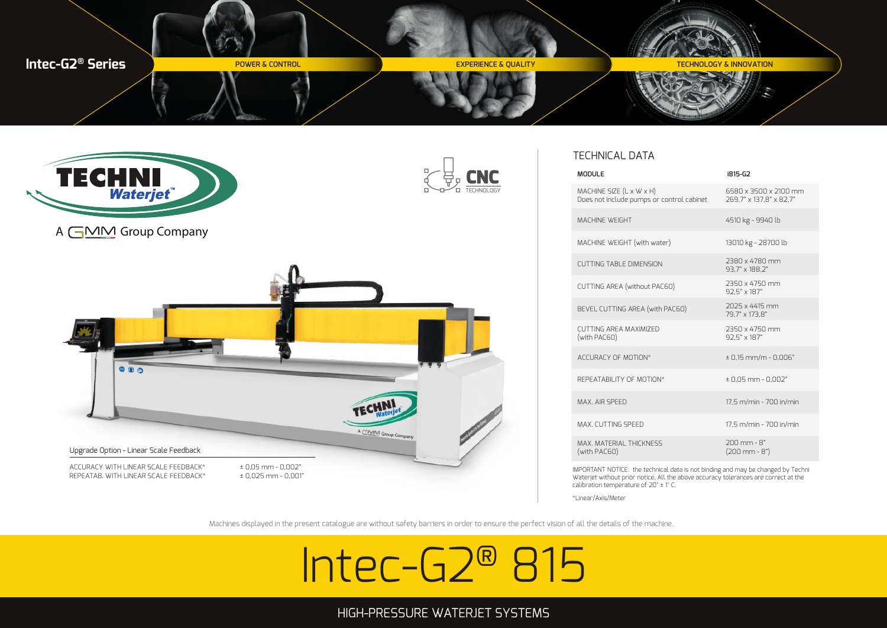



# TECHNICAL DATA

| <b>MODULE</b>                                                         | i815-G2                                          |
|-----------------------------------------------------------------------|--------------------------------------------------|
| MACHINE SIZE (L x W x H)<br>Does not include pumps or control cabinet | 6580 x 3500 x 2100 mm<br>269.7" x 137.8" x 82.7" |
| <b>MACHINE WEIGHT</b>                                                 | 4510 kg - 9940 lb                                |
| MACHINE WEIGHT (with water)                                           | 13010 kg - 28700 lb                              |
| <b>CUTTING TABLE DIMENSION</b>                                        | 2380 x 4780 mm<br>93.7" x 188.2"                 |
| CUTTING AREA (without PAC60)                                          | 2350 x 4750 mm<br>92.5" x 187"                   |
| BEVEL CUTTING AREA (with PAC60)                                       | 2025 x 4415 mm<br>79.7" x 173.8"                 |
| CUTTING AREA MAXIMIZED<br>(with PAC60)                                | 2350 x 4750 mm<br>92.5" x 187"                   |
| ACCURACY OF MOTION*                                                   | $± 0,15$ mm/m - 0,006"                           |
| REPEATARILITY OF MOTION*                                              | $± 0,05$ mm $- 0,002"$                           |
| MAX AIR SPEED                                                         | 17.5 m/min - 700 in/min                          |
| MAX. CUTTING SPEED                                                    | 17,5 m/min - 700 in/min                          |
| MAX. MATERIAL THICKNESS<br>(with PAC60)                               | $200$ mm - $8"$<br>$(200$ mm - $8")$             |
|                                                                       |                                                  |

IMPORTANT NOTICE: the technical data is not binding and may be changed by Techni Waterjet without prior notice. All the above accuracy tolerances are correct at the calibration temperature of 20° ± 1° C.

\*Linear/Axis/Meter

Machines displayed in the present catalogue are without safety barriers in order to ensure the perfect vision of all the details of the machine.

# Intec-G2® 815

# HIGH-PRESSURE WATERJET SYSTEMS